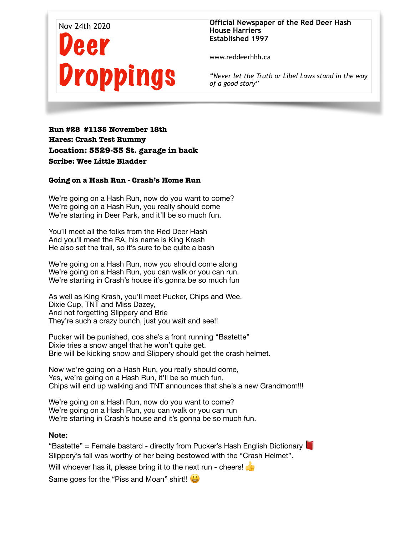

**Official Newspaper of the Red Deer Hash House Harriers Established 1997** 

www.reddeerhhh.ca

*"Never let the Truth or Libel Laws stand in the way of a good story"*

**Run #28 #1135 November 18th Hares: Crash Test Rummy Location: 5529-35 St. garage in back Scribe: Wee Little Bladder** 

## **Going on a Hash Run - Crash's Home Run**

We're going on a Hash Run, now do you want to come? We're going on a Hash Run, you really should come We're starting in Deer Park, and it'll be so much fun.

You'll meet all the folks from the Red Deer Hash And you'll meet the RA, his name is King Krash He also set the trail, so it's sure to be quite a bash

We're going on a Hash Run, now you should come along We're going on a Hash Run, you can walk or you can run. We're starting in Crash's house it's gonna be so much fun

As well as King Krash, you'll meet Pucker, Chips and Wee, Dixie Cup, TNT and Miss Dazey, And not forgetting Slippery and Brie They're such a crazy bunch, just you wait and see!!

Pucker will be punished, cos she's a front running "Bastette" Dixie tries a snow angel that he won't quite get. Brie will be kicking snow and Slippery should get the crash helmet.

Now we're going on a Hash Run, you really should come, Yes, we're going on a Hash Run, it'll be so much fun, Chips will end up walking and TNT announces that she's a new Grandmom!!!

We're going on a Hash Run, now do you want to come? We're going on a Hash Run, you can walk or you can run We're starting in Crash's house and it's gonna be so much fun.

## **Note:**

"Bastette" = Female bastard - directly from Pucker's Hash English Dictionary Slippery's fall was worthy of her being bestowed with the "Crash Helmet".

Will whoever has it, please bring it to the next run - cheers!

Same goes for the "Piss and Moan" shirt!!